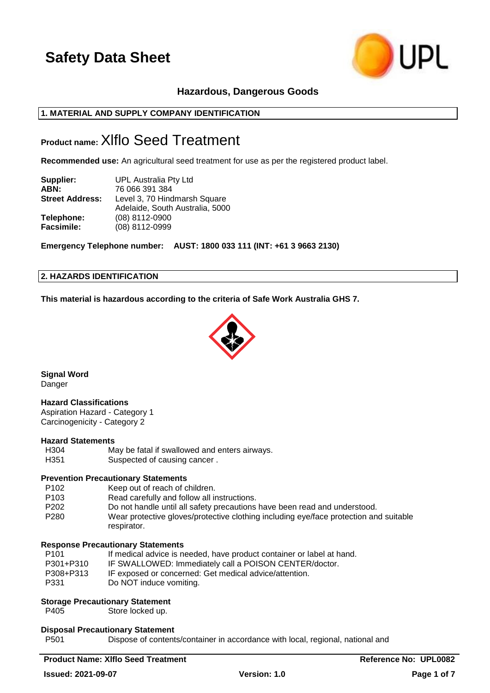

# **Hazardous, Dangerous Goods**

# **1. MATERIAL AND SUPPLY COMPANY IDENTIFICATION**

# **Product name:**Xlflo Seed Treatment

**Recommended use:** An agricultural seed treatment for use as per the registered product label.

| Supplier:              | UPL Australia Pty Ltd           |
|------------------------|---------------------------------|
| ABN:                   | 76 066 391 384                  |
| <b>Street Address:</b> | Level 3, 70 Hindmarsh Square    |
|                        | Adelaide, South Australia, 5000 |
| Telephone:             | (08) 8112-0900                  |
| <b>Facsimile:</b>      | (08) 8112-0999                  |

**Emergency Telephone number: AUST: 1800 033 111 (INT: +61 3 9663 2130)**

### **2. HAZARDS IDENTIFICATION**

**This material is hazardous according to the criteria of Safe Work Australia GHS 7.**



**Signal Word** Danger

# **Hazard Classifications**

Aspiration Hazard - Category 1 Carcinogenicity - Category 2

### **Hazard Statements**

H304 May be fatal if swallowed and enters airways. H351 Suspected of causing cancer.

### **Prevention Precautionary Statements**

- P102 Keep out of reach of children. P103 Read carefully and follow all instructions.
- P202 Do not handle until all safety precautions have been read and understood.
- P280 Wear protective gloves/protective clothing including eye/face protection and suitable respirator.

### **Response Precautionary Statements**

P101 If medical advice is needed, have product container or label at hand. P301+P310 IF SWALLOWED: Immediately call a POISON CENTER/doctor. P308+P313 IF exposed or concerned: Get medical advice/attention. P331 Do NOT induce vomiting.

# **Storage Precautionary Statement**

P405 Store locked up.

### **Disposal Precautionary Statement**

P501 Dispose of contents/container in accordance with local, regional, national and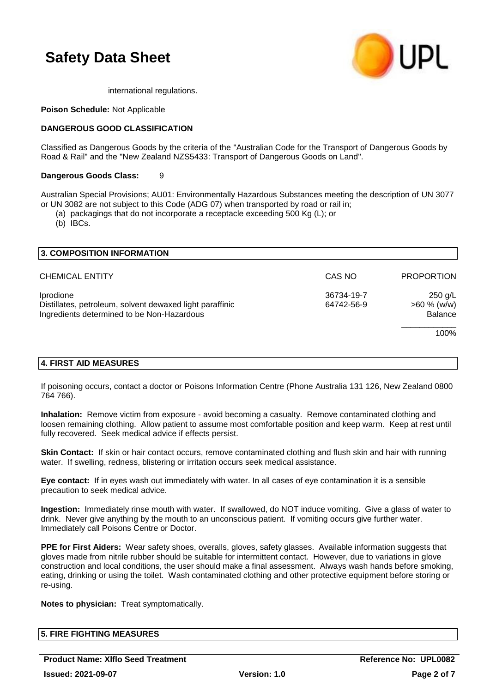

international regulations.

### **Poison Schedule:** Not Applicable

### **DANGEROUS GOOD CLASSIFICATION**

Classified as Dangerous Goods by the criteria of the "Australian Code for the Transport of Dangerous Goods by Road & Rail" and the "New Zealand NZS5433: Transport of Dangerous Goods on Land".

### **Dangerous Goods Class:** 9

Australian Special Provisions; AU01: Environmentally Hazardous Substances meeting the description of UN 3077 or UN 3082 are not subject to this Code (ADG 07) when transported by road or rail in;

(a) packagings that do not incorporate a receptacle exceeding 500 Kg (L); or

(b) IBCs.

| 3. COMPOSITION INFORMATION                                                                                          |                          |                                             |
|---------------------------------------------------------------------------------------------------------------------|--------------------------|---------------------------------------------|
| <b>CHEMICAL ENTITY</b>                                                                                              | CAS NO                   | <b>PROPORTION</b>                           |
| Iprodione<br>Distillates, petroleum, solvent dewaxed light paraffinic<br>Ingredients determined to be Non-Hazardous | 36734-19-7<br>64742-56-9 | 250 g/L<br>$>60 \%$ (w/w)<br><b>Balance</b> |
|                                                                                                                     |                          | 100%                                        |
|                                                                                                                     |                          |                                             |

# **4. FIRST AID MEASURES**

If poisoning occurs, contact a doctor or Poisons Information Centre (Phone Australia 131 126, New Zealand 0800 764 766).

**Inhalation:** Remove victim from exposure - avoid becoming a casualty. Remove contaminated clothing and loosen remaining clothing. Allow patient to assume most comfortable position and keep warm. Keep at rest until fully recovered. Seek medical advice if effects persist.

**Skin Contact:** If skin or hair contact occurs, remove contaminated clothing and flush skin and hair with running water. If swelling, redness, blistering or irritation occurs seek medical assistance.

**Eye contact:** If in eyes wash out immediately with water. In all cases of eye contamination it is a sensible precaution to seek medical advice.

**Ingestion:** Immediately rinse mouth with water. If swallowed, do NOT induce vomiting. Give a glass of water to drink. Never give anything by the mouth to an unconscious patient. If vomiting occurs give further water. Immediately call Poisons Centre or Doctor.

**PPE for First Aiders:** Wear safety shoes, overalls, gloves, safety glasses. Available information suggests that gloves made from nitrile rubber should be suitable for intermittent contact. However, due to variations in glove construction and local conditions, the user should make a final assessment. Always wash hands before smoking, eating, drinking or using the toilet. Wash contaminated clothing and other protective equipment before storing or re-using.

**Notes to physician:** Treat symptomatically.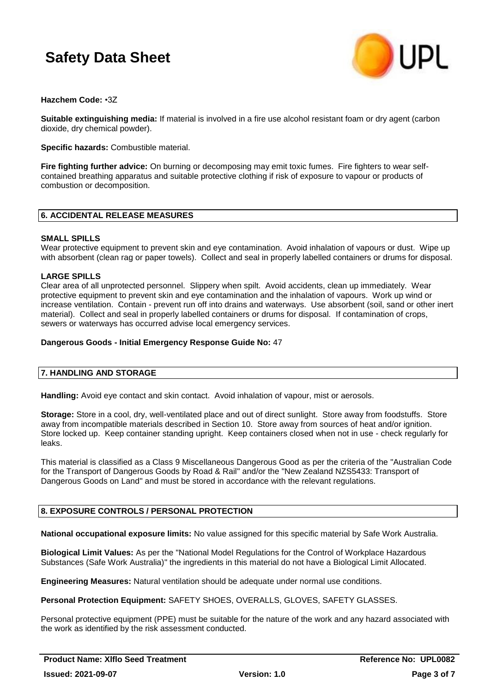

# **Hazchem Code:** •3Z

**Suitable extinguishing media:** If material is involved in a fire use alcohol resistant foam or dry agent (carbon dioxide, dry chemical powder).

**Specific hazards:** Combustible material.

**Fire fighting further advice:** On burning or decomposing may emit toxic fumes. Fire fighters to wear selfcontained breathing apparatus and suitable protective clothing if risk of exposure to vapour or products of combustion or decomposition.

# **6. ACCIDENTAL RELEASE MEASURES**

# **SMALL SPILLS**

Wear protective equipment to prevent skin and eye contamination. Avoid inhalation of vapours or dust. Wipe up with absorbent (clean rag or paper towels). Collect and seal in properly labelled containers or drums for disposal.

# **LARGE SPILLS**

Clear area of all unprotected personnel. Slippery when spilt. Avoid accidents, clean up immediately. Wear protective equipment to prevent skin and eye contamination and the inhalation of vapours. Work up wind or increase ventilation. Contain - prevent run off into drains and waterways. Use absorbent (soil, sand or other inert material). Collect and seal in properly labelled containers or drums for disposal. If contamination of crops, sewers or waterways has occurred advise local emergency services.

# **Dangerous Goods - Initial Emergency Response Guide No:** 47

# **7. HANDLING AND STORAGE**

**Handling:** Avoid eye contact and skin contact. Avoid inhalation of vapour, mist or aerosols.

**Storage:** Store in a cool, dry, well-ventilated place and out of direct sunlight. Store away from foodstuffs. Store away from incompatible materials described in Section 10. Store away from sources of heat and/or ignition. Store locked up. Keep container standing upright. Keep containers closed when not in use - check regularly for leaks.

This material is classified as a Class 9 Miscellaneous Dangerous Good as per the criteria of the "Australian Code for the Transport of Dangerous Goods by Road & Rail" and/or the "New Zealand NZS5433: Transport of Dangerous Goods on Land" and must be stored in accordance with the relevant regulations.

# **8. EXPOSURE CONTROLS / PERSONAL PROTECTION**

**National occupational exposure limits:** No value assigned for this specific material by Safe Work Australia.

**Biological Limit Values:** As per the "National Model Regulations for the Control of Workplace Hazardous Substances (Safe Work Australia)" the ingredients in this material do not have a Biological Limit Allocated.

**Engineering Measures:** Natural ventilation should be adequate under normal use conditions.

**Personal Protection Equipment:** SAFETY SHOES, OVERALLS, GLOVES, SAFETY GLASSES.

Personal protective equipment (PPE) must be suitable for the nature of the work and any hazard associated with the work as identified by the risk assessment conducted.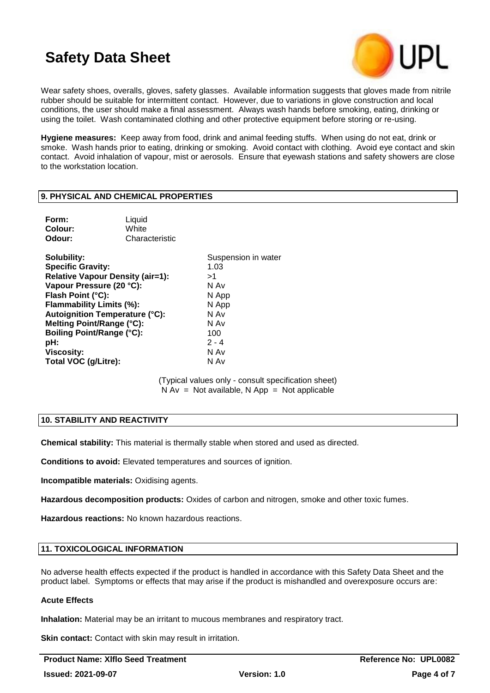

Wear safety shoes, overalls, gloves, safety glasses. Available information suggests that gloves made from nitrile rubber should be suitable for intermittent contact. However, due to variations in glove construction and local conditions, the user should make a final assessment. Always wash hands before smoking, eating, drinking or using the toilet. Wash contaminated clothing and other protective equipment before storing or re-using.

**Hygiene measures:** Keep away from food, drink and animal feeding stuffs. When using do not eat, drink or smoke. Wash hands prior to eating, drinking or smoking. Avoid contact with clothing. Avoid eye contact and skin contact. Avoid inhalation of vapour, mist or aerosols. Ensure that eyewash stations and safety showers are close to the workstation location.

### **9. PHYSICAL AND CHEMICAL PROPERTIES**

| Form:   | Liquid         |
|---------|----------------|
| Colour: | White          |
| Odour:  | Characteristic |
|         |                |

**Solubility:** Suspension in water **Specific Gravity:** 1.03 **Relative Vapour Density (air=1):** >1 **Vapour Pressure (20 °C):** N Av **Flash Point (°C):** N App **Flammability Limits (%):** N App **Autoignition Temperature (°C):** N Av **Melting Point/Range (°C):** N Av **Boiling Point/Range (°C):** 100 **pH:** 2 - 4 **Viscosity:** N Av **Total VOC (g/Litre):** N Av

> (Typical values only - consult specification sheet)  $N Av = Not available, N App = Not applicable$

# **10. STABILITY AND REACTIVITY**

**Chemical stability:** This material is thermally stable when stored and used as directed.

**Conditions to avoid:** Elevated temperatures and sources of ignition.

**Incompatible materials:** Oxidising agents.

**Hazardous decomposition products:** Oxides of carbon and nitrogen, smoke and other toxic fumes.

**Hazardous reactions:** No known hazardous reactions.

# **11. TOXICOLOGICAL INFORMATION**

No adverse health effects expected if the product is handled in accordance with this Safety Data Sheet and the product label. Symptoms or effects that may arise if the product is mishandled and overexposure occurs are:

### **Acute Effects**

**Inhalation:** Material may be an irritant to mucous membranes and respiratory tract.

**Skin contact:** Contact with skin may result in irritation.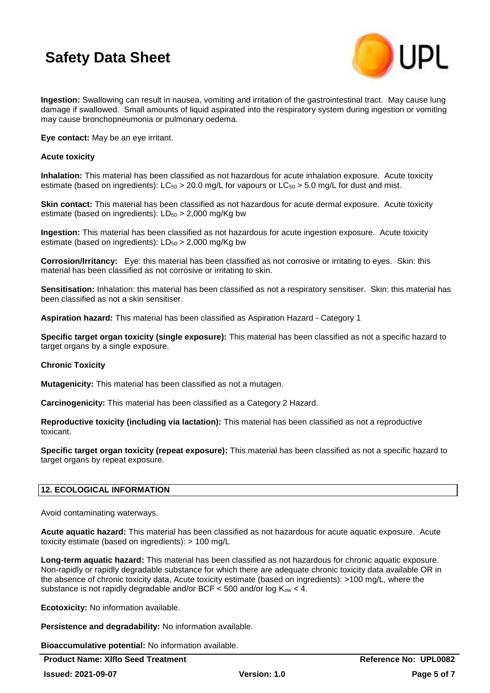

**Ingestion:** Swallowing can result in nausea, vomiting and irritation of the gastrointestinal tract. May cause lung damage if swallowed. Small amounts of liquid aspirated into the respiratory system during ingestion or vomiting may cause bronchopneumonia or pulmonary oedema.

**Eye contact:** May be an eye irritant.

### **Acute toxicity**

**Inhalation:** This material has been classified as not hazardous for acute inhalation exposure. Acute toxicity estimate (based on ingredients):  $LC_{50} > 20.0$  mg/L for vapours or  $LC_{50} > 5.0$  mg/L for dust and mist.

**Skin contact:** This material has been classified as not hazardous for acute dermal exposure. Acute toxicity estimate (based on ingredients):  $LD_{50} > 2,000$  mg/Kg bw

**Ingestion:** This material has been classified as not hazardous for acute ingestion exposure. Acute toxicity estimate (based on ingredients):  $LD_{50} > 2,000$  mg/Kg bw

**Corrosion/Irritancy:** Eye: this material has been classified as not corrosive or irritating to eyes. Skin: this material has been classified as not corrosive or irritating to skin.

**Sensitisation:** Inhalation: this material has been classified as not a respiratory sensitiser. Skin: this material has been classified as not a skin sensitiser.

**Aspiration hazard:** This material has been classified as Aspiration Hazard - Category 1

**Specific target organ toxicity (single exposure):** This material has been classified as not a specific hazard to target organs by a single exposure.

# **Chronic Toxicity**

**Mutagenicity:** This material has been classified as not a mutagen.

**Carcinogenicity:** This material has been classified as a Category 2 Hazard.

**Reproductive toxicity (including via lactation):** This material has been classified as not a reproductive toxicant.

**Specific target organ toxicity (repeat exposure):** This material has been classified as not a specific hazard to target organs by repeat exposure.

# **12. ECOLOGICAL INFORMATION**

Avoid contaminating waterways.

**Acute aquatic hazard:** This material has been classified as not hazardous for acute aquatic exposure. Acute toxicity estimate (based on ingredients): > 100 mg/L

**Long-term aquatic hazard:** This material has been classified as not hazardous for chronic aquatic exposure. Non-rapidly or rapidly degradable substance for which there are adequate chronic toxicity data available OR in the absence of chronic toxicity data, Acute toxicity estimate (based on ingredients): >100 mg/L, where the substance is not rapidly degradable and/or BCF  $<$  500 and/or log  $K_{ow}$   $<$  4.

**Ecotoxicity:** No information available.

**Persistence and degradability:** No information available.

**Bioaccumulative potential:** No information available.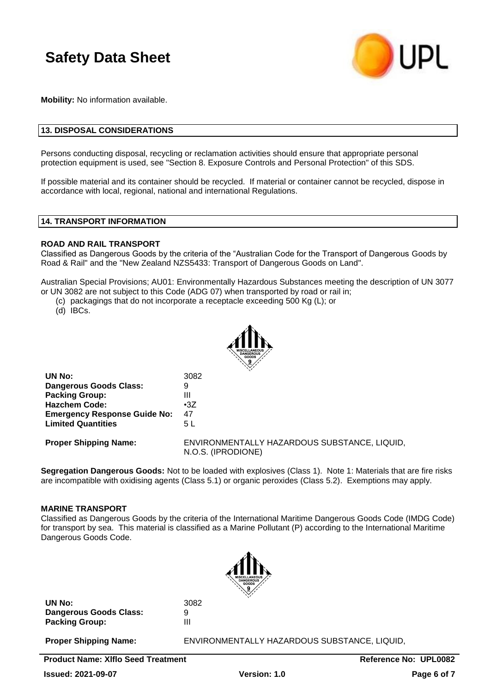

**Mobility:** No information available.

# **13. DISPOSAL CONSIDERATIONS**

Persons conducting disposal, recycling or reclamation activities should ensure that appropriate personal protection equipment is used, see "Section 8. Exposure Controls and Personal Protection" of this SDS.

If possible material and its container should be recycled. If material or container cannot be recycled, dispose in accordance with local, regional, national and international Regulations.

### **14. TRANSPORT INFORMATION**

### **ROAD AND RAIL TRANSPORT**

Classified as Dangerous Goods by the criteria of the "Australian Code for the Transport of Dangerous Goods by Road & Rail" and the "New Zealand NZS5433: Transport of Dangerous Goods on Land".

Australian Special Provisions; AU01: Environmentally Hazardous Substances meeting the description of UN 3077 or UN 3082 are not subject to this Code (ADG 07) when transported by road or rail in;

(c) packagings that do not incorporate a receptacle exceeding 500 Kg (L); or

(d) IBCs.



| UN No:                              | 3082                                                               |
|-------------------------------------|--------------------------------------------------------------------|
| <b>Dangerous Goods Class:</b>       | 9                                                                  |
| <b>Packing Group:</b>               | Ш                                                                  |
| <b>Hazchem Code:</b>                | $\cdot 37$                                                         |
| <b>Emergency Response Guide No:</b> | 47                                                                 |
| <b>Limited Quantities</b>           | 5 L                                                                |
| <b>Proper Shipping Name:</b>        | ENVIRONMENTALLY HAZARDOUS SUBSTANCE, LIQUID,<br>N.O.S. (IPRODIONE) |

**Segregation Dangerous Goods:** Not to be loaded with explosives (Class 1). Note 1: Materials that are fire risks are incompatible with oxidising agents (Class 5.1) or organic peroxides (Class 5.2). Exemptions may apply.

### **MARINE TRANSPORT**

Classified as Dangerous Goods by the criteria of the International Maritime Dangerous Goods Code (IMDG Code) for transport by sea. This material is classified as a Marine Pollutant (P) according to the International Maritime Dangerous Goods Code.



**UN No:** 3082 **Dangerous Goods Class:** 9 **Packing Group:** III

**Proper Shipping Name:** ENVIRONMENTALLY HAZARDOUS SUBSTANCE, LIQUID,